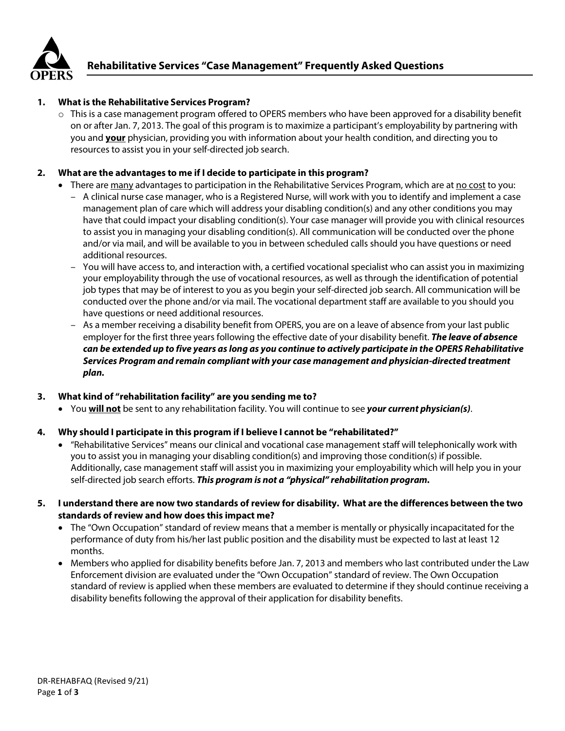

### **1. What is the Rehabilitative Services Program?**

 $\circ$  This is a case management program offered to OPERS members who have been approved for a disability benefit on or after Jan. 7, 2013. The goal of this program is to maximize a participant's employability by partnering with you and **your** physician, providing you with information about your health condition, and directing you to resources to assist you in your self-directed job search.

## **2. What are the advantages to me if I decide to participate in this program?**

- There are many advantages to participation in the Rehabilitative Services Program, which are at no cost to you:
	- A clinical nurse case manager, who is a Registered Nurse, will work with you to identify and implement a case management plan of care which will address your disabling condition(s) and any other conditions you may have that could impact your disabling condition(s). Your case manager will provide you with clinical resources to assist you in managing your disabling condition(s). All communication will be conducted over the phone and/or via mail, and will be available to you in between scheduled calls should you have questions or need additional resources.
	- You will have access to, and interaction with, a certified vocational specialist who can assist you in maximizing your employability through the use of vocational resources, as well as through the identification of potential job types that may be of interest to you as you begin your self-directed job search. All communication will be conducted over the phone and/or via mail. The vocational department staff are available to you should you have questions or need additional resources.
	- As a member receiving a disability benefit from OPERS, you are on a leave of absence from your last public employer for the first three years following the effective date of your disability benefit. *The leave of absence can be extended up to five years as long as you continue to actively participate in the OPERS Rehabilitative Services Program and remain compliant with your case management and physician-directed treatment plan.*

#### **3. What kind of "rehabilitation facility" are you sending me to?**

• You **will not** be sent to any rehabilitation facility. You will continue to see *your current physician(s)*.

# **4. Why should I participate in this program if I believe I cannot be "rehabilitated?"**

- "Rehabilitative Services" means our clinical and vocational case management staff will telephonically work with you to assist you in managing your disabling condition(s) and improving those condition(s) if possible. Additionally, case management staff will assist you in maximizing your employability which will help you in your self-directed job search efforts. *This program is not a "physical" rehabilitation program.*
- **5. I understand there are now two standards of review for disability. What are the differences between the two standards of review and how does this impact me?**
	- The "Own Occupation" standard of review means that a member is mentally or physically incapacitated for the performance of duty from his/her last public position and the disability must be expected to last at least 12 months.
	- Members who applied for disability benefits before Jan. 7, 2013 and members who last contributed under the Law Enforcement division are evaluated under the "Own Occupation" standard of review. The Own Occupation standard of review is applied when these members are evaluated to determine if they should continue receiving a disability benefits following the approval of their application for disability benefits.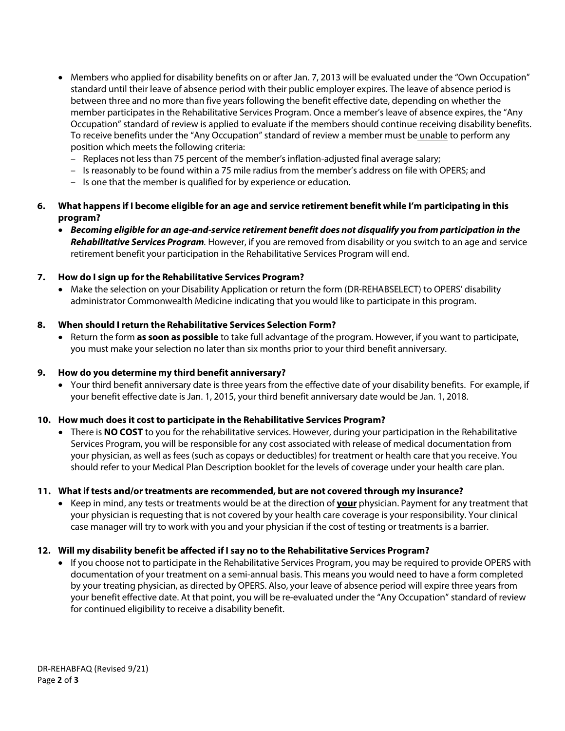- Members who applied for disability benefits on or after Jan. 7, 2013 will be evaluated under the "Own Occupation" standard until their leave of absence period with their public employer expires. The leave of absence period is between three and no more than five years following the benefit effective date, depending on whether the member participates in the Rehabilitative Services Program. Once a member's leave of absence expires, the "Any Occupation" standard of review is applied to evaluate if the members should continue receiving disability benefits. To receive benefits under the "Any Occupation" standard of review a member must be unable to perform any position which meets the following criteria:
	- Replaces not less than 75 percent of the member's inflation-adjusted final average salary;
	- Is reasonably to be found within a 75 mile radius from the member's address on file with OPERS; and
	- Is one that the member is qualified for by experience or education.

# **6. What happens if I become eligible for an age and service retirement benefit while I'm participating in this program?**

• *Becoming eligible for an age-and-service retirement benefit does not disqualify you from participation in the Rehabilitative Services Program.* However, if you are removed from disability or you switch to an age and service retirement benefit your participation in the Rehabilitative Services Program will end.

## **7. How do I sign up for the Rehabilitative Services Program?**

• Make the selection on your Disability Application or return the form (DR-REHABSELECT) to OPERS' disability administrator Commonwealth Medicine indicating that you would like to participate in this program.

## **8. When should I return the Rehabilitative Services Selection Form?**

• Return the form **as soon as possible** to take full advantage of the program. However, if you want to participate, you must make your selection no later than six months prior to your third benefit anniversary.

#### **9. How do you determine my third benefit anniversary?**

• Your third benefit anniversary date is three years from the effective date of your disability benefits. For example, if your benefit effective date is Jan. 1, 2015, your third benefit anniversary date would be Jan. 1, 2018.

#### **10. How much does it cost to participate in the Rehabilitative Services Program?**

• There is **NO COST** to you for the rehabilitative services. However, during your participation in the Rehabilitative Services Program, you will be responsible for any cost associated with release of medical documentation from your physician, as well as fees (such as copays or deductibles) for treatment or health care that you receive. You should refer to your Medical Plan Description booklet for the levels of coverage under your health care plan.

#### **11. What if tests and/or treatments are recommended, but are not covered through my insurance?**

• Keep in mind, any tests or treatments would be at the direction of **your** physician. Payment for any treatment that your physician is requesting that is not covered by your health care coverage is your responsibility. Your clinical case manager will try to work with you and your physician if the cost of testing or treatments is a barrier.

#### **12. Will my disability benefit be affected if I say no to the Rehabilitative Services Program?**

• If you choose not to participate in the Rehabilitative Services Program, you may be required to provide OPERS with documentation of your treatment on a semi-annual basis. This means you would need to have a form completed by your treating physician, as directed by OPERS. Also, your leave of absence period will expire three years from your benefit effective date. At that point, you will be re-evaluated under the "Any Occupation" standard of review for continued eligibility to receive a disability benefit.